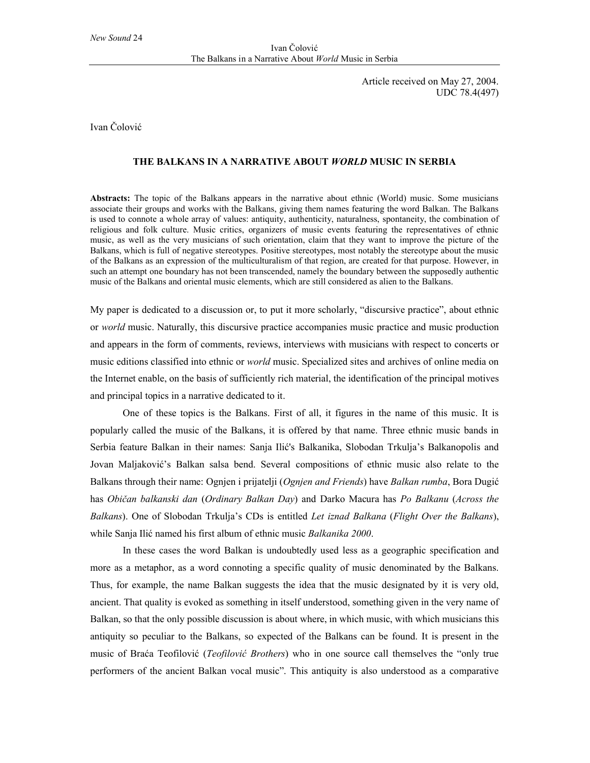Article received on May 27, 2004. UDC 78.4(497)

Ivan Čolović

## **THE BALKANS IN A NARRATIVE ABOUT** *WORLD* **MUSIC IN SERBIA**

**Abstracts:** The topic of the Balkans appears in the narrative about ethnic (World) music. Some musicians associate their groups and works with the Balkans, giving them names featuring the word Balkan. The Balkans is used to connote a whole array of values: antiquity, authenticity, naturalness, spontaneity, the combination of religious and folk culture. Music critics, organizers of music events featuring the representatives of ethnic music, as well as the very musicians of such orientation, claim that they want to improve the picture of the Balkans, which is full of negative stereotypes. Positive stereotypes, most notably the stereotype about the music of the Balkans as an expression of the multiculturalism of that region, are created for that purpose. However, in such an attempt one boundary has not been transcended, namely the boundary between the supposedly authentic music of the Balkans and oriental music elements, which are still considered as alien to the Balkans.

My paper is dedicated to a discussion or, to put it more scholarly, "discursive practice", about ethnic or *world* music. Naturally, this discursive practice accompanies music practice and music production and appears in the form of comments, reviews, interviews with musicians with respect to concerts or music editions classified into ethnic or *world* music. Specialized sites and archives of online media on the Internet enable, on the basis of sufficiently rich material, the identification of the principal motives and principal topics in a narrative dedicated to it.

One of these topics is the Balkans. First of all, it figures in the name of this music. It is popularly called the music of the Balkans, it is offered by that name. Three ethnic music bands in Serbia feature Balkan in their names: Sanja Ilić's Balkanika, Slobodan Trkulja's Balkanopolis and Jovan Maljaković's Balkan salsa bend. Several compositions of ethnic music also relate to the Balkans through their name: Ognjen i prijatelji (*Ognjen and Friends*) have *Balkan rumba*, Bora Dugić has *Običan balkanski dan* (*Ordinary Balkan Day*) and Darko Macura has *Po Balkanu* (*Across the Balkans*). One of Slobodan Trkulja's CDs is entitled *Let iznad Balkana* (*Flight Over the Balkans*), while Sanja Ilić named his first album of ethnic music *Balkanika 2000*.

In these cases the word Balkan is undoubtedly used less as a geographic specification and more as a metaphor, as a word connoting a specific quality of music denominated by the Balkans. Thus, for example, the name Balkan suggests the idea that the music designated by it is very old, ancient. That quality is evoked as something in itself understood, something given in the very name of Balkan, so that the only possible discussion is about where, in which music, with which musicians this antiquity so peculiar to the Balkans, so expected of the Balkans can be found. It is present in the music of Braća Teofilović (*Teofilović Brothers*) who in one source call themselves the "only true performers of the ancient Balkan vocal music". This antiquity is also understood as a comparative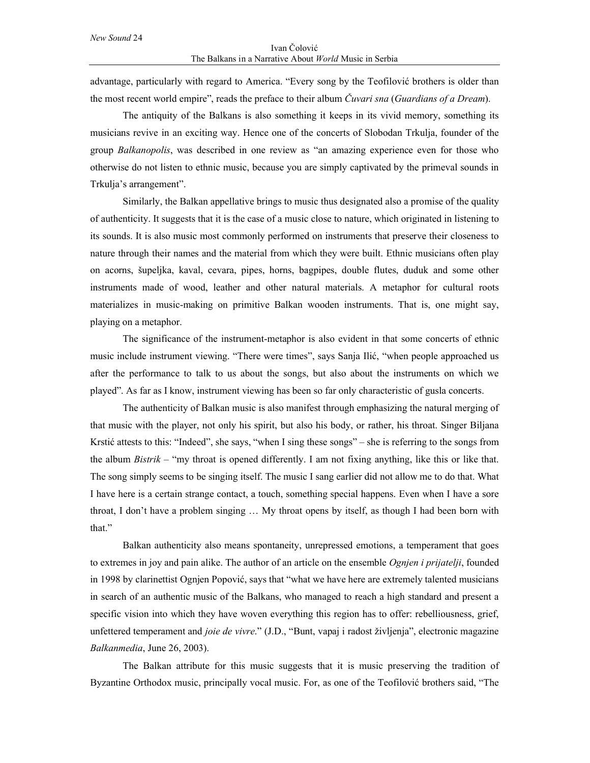advantage, particularly with regard to America. "Every song by the Teofilović brothers is older than the most recent world empire", reads the preface to their album *Čuvari sna* (*Guardians of a Dream*).

The antiquity of the Balkans is also something it keeps in its vivid memory, something its musicians revive in an exciting way. Hence one of the concerts of Slobodan Trkulja, founder of the group *Balkanopolis*, was described in one review as "an amazing experience even for those who otherwise do not listen to ethnic music, because you are simply captivated by the primeval sounds in Trkulja's arrangement".

Similarly, the Balkan appellative brings to music thus designated also a promise of the quality of authenticity. It suggests that it is the case of a music close to nature, which originated in listening to its sounds. It is also music most commonly performed on instruments that preserve their closeness to nature through their names and the material from which they were built. Ethnic musicians often play on acorns, šupeljka, kaval, cevara, pipes, horns, bagpipes, double flutes, duduk and some other instruments made of wood, leather and other natural materials. A metaphor for cultural roots materializes in music-making on primitive Balkan wooden instruments. That is, one might say, playing on a metaphor.

The significance of the instrument-metaphor is also evident in that some concerts of ethnic music include instrument viewing. "There were times", says Sanja Ilić, "when people approached us after the performance to talk to us about the songs, but also about the instruments on which we played". As far as I know, instrument viewing has been so far only characteristic of gusla concerts.

The authenticity of Balkan music is also manifest through emphasizing the natural merging of that music with the player, not only his spirit, but also his body, or rather, his throat. Singer Biljana Krstić attests to this: "Indeed", she says, "when I sing these songs" – she is referring to the songs from the album *Bistrik* – "my throat is opened differently. I am not fixing anything, like this or like that. The song simply seems to be singing itself. The music I sang earlier did not allow me to do that. What I have here is a certain strange contact, a touch, something special happens. Even when I have a sore throat, I don't have a problem singing … My throat opens by itself, as though I had been born with that."

Balkan authenticity also means spontaneity, unrepressed emotions, a temperament that goes to extremes in joy and pain alike. The author of an article on the ensemble *Ognjen i prijatelji*, founded in 1998 by clarinettist Ognjen Popović, says that "what we have here are extremely talented musicians in search of an authentic music of the Balkans, who managed to reach a high standard and present a specific vision into which they have woven everything this region has to offer: rebelliousness, grief, unfettered temperament and *joie de vivre*." (J.D., "Bunt, vapaj i radost življenja", electronic magazine *Balkanmedia*, June 26, 2003).

The Balkan attribute for this music suggests that it is music preserving the tradition of Byzantine Orthodox music, principally vocal music. For, as one of the Teofilović brothers said, "The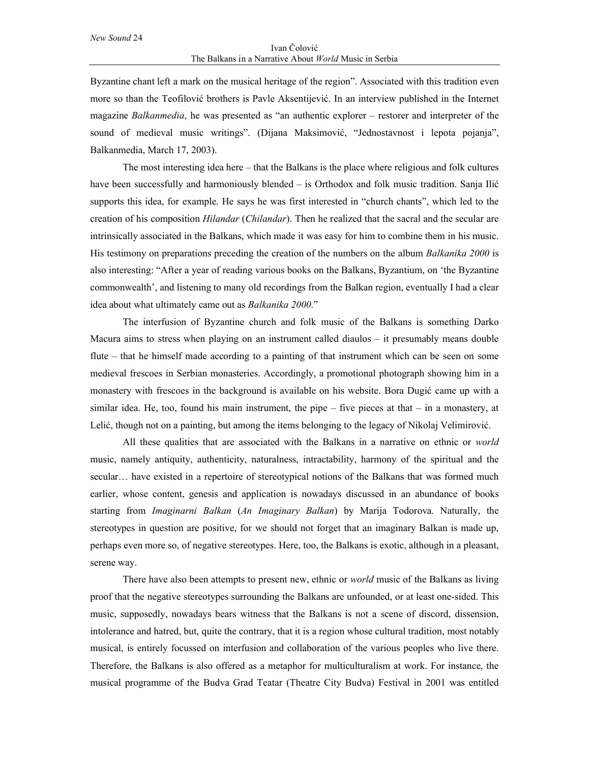Byzantine chant left a mark on the musical heritage of the region". Associated with this tradition even more so than the Teofilović brothers is Pavle Aksentijević. In an interview published in the Internet magazine *Balkanmedia*, he was presented as "an authentic explorer – restorer and interpreter of the sound of medieval music writings". (Dijana Maksimović, "Jednostavnost i lepota pojanja", Balkanmedia, March 17, 2003).

The most interesting idea here – that the Balkans is the place where religious and folk cultures have been successfully and harmoniously blended – is Orthodox and folk music tradition. Sanja Ilić supports this idea, for example. He says he was first interested in "church chants", which led to the creation of his composition *Hilandar* (*Chilandar*). Then he realized that the sacral and the secular are intrinsically associated in the Balkans, which made it was easy for him to combine them in his music. His testimony on preparations preceding the creation of the numbers on the album *Balkanika 2000* is also interesting: "After a year of reading various books on the Balkans, Byzantium, on 'the Byzantine commonwealth', and listening to many old recordings from the Balkan region, eventually I had a clear idea about what ultimately came out as *Balkanika 2000*."

The interfusion of Byzantine church and folk music of the Balkans is something Darko Macura aims to stress when playing on an instrument called diaulos – it presumably means double flute – that he himself made according to a painting of that instrument which can be seen on some medieval frescoes in Serbian monasteries. Accordingly, a promotional photograph showing him in a monastery with frescoes in the background is available on his website. Bora Dugić came up with a similar idea. He, too, found his main instrument, the pipe – five pieces at that – in a monastery, at Lelić, though not on a painting, but among the items belonging to the legacy of Nikolaj Velimirović.

All these qualities that are associated with the Balkans in a narrative on ethnic or *world* music, namely antiquity, authenticity, naturalness, intractability, harmony of the spiritual and the secular… have existed in a repertoire of stereotypical notions of the Balkans that was formed much earlier, whose content, genesis and application is nowadays discussed in an abundance of books starting from *Imaginarni Balkan* (*An Imaginary Balkan*) by Marija Todorova. Naturally, the stereotypes in question are positive, for we should not forget that an imaginary Balkan is made up, perhaps even more so, of negative stereotypes. Here, too, the Balkans is exotic, although in a pleasant, serene way.

There have also been attempts to present new, ethnic or *world* music of the Balkans as living proof that the negative stereotypes surrounding the Balkans are unfounded, or at least one-sided. This music, supposedly, nowadays bears witness that the Balkans is not a scene of discord, dissension, intolerance and hatred, but, quite the contrary, that it is a region whose cultural tradition, most notably musical, is entirely focussed on interfusion and collaboration of the various peoples who live there. Therefore, the Balkans is also offered as a metaphor for multiculturalism at work. For instance, the musical programme of the Budva Grad Teatar (Theatre City Budva) Festival in 2001 was entitled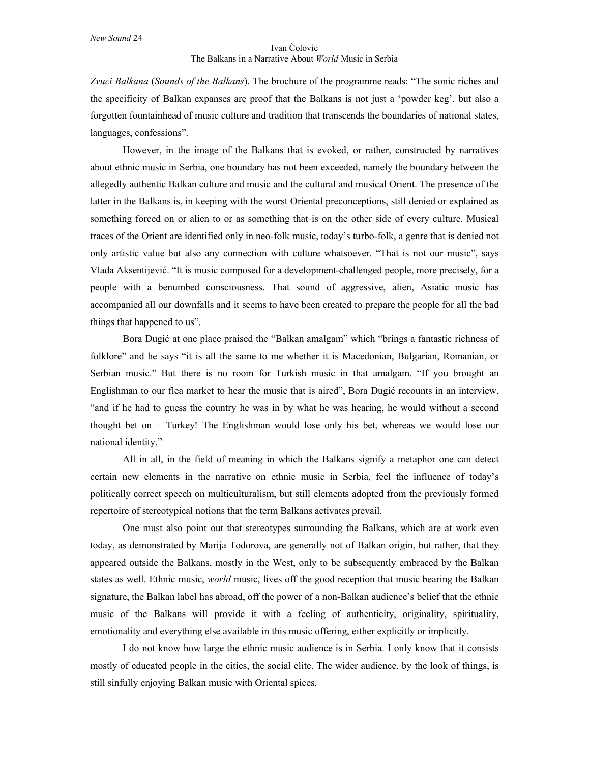*Zvuci Balkana* (*Sounds of the Balkans*). The brochure of the programme reads: "The sonic riches and the specificity of Balkan expanses are proof that the Balkans is not just a 'powder keg', but also a forgotten fountainhead of music culture and tradition that transcends the boundaries of national states, languages, confessions".

However, in the image of the Balkans that is evoked, or rather, constructed by narratives about ethnic music in Serbia, one boundary has not been exceeded, namely the boundary between the allegedly authentic Balkan culture and music and the cultural and musical Orient. The presence of the latter in the Balkans is, in keeping with the worst Oriental preconceptions, still denied or explained as something forced on or alien to or as something that is on the other side of every culture. Musical traces of the Orient are identified only in neo-folk music, today's turbo-folk, a genre that is denied not only artistic value but also any connection with culture whatsoever. "That is not our music", says Vlada Aksentijević. "It is music composed for a development-challenged people, more precisely, for a people with a benumbed consciousness. That sound of aggressive, alien, Asiatic music has accompanied all our downfalls and it seems to have been created to prepare the people for all the bad things that happened to us".

Bora Dugić at one place praised the "Balkan amalgam" which "brings a fantastic richness of folklore" and he says "it is all the same to me whether it is Macedonian, Bulgarian, Romanian, or Serbian music." But there is no room for Turkish music in that amalgam. "If you brought an Englishman to our flea market to hear the music that is aired", Bora Dugić recounts in an interview, "and if he had to guess the country he was in by what he was hearing, he would without a second thought bet on – Turkey! The Englishman would lose only his bet, whereas we would lose our national identity."

All in all, in the field of meaning in which the Balkans signify a metaphor one can detect certain new elements in the narrative on ethnic music in Serbia, feel the influence of today's politically correct speech on multiculturalism, but still elements adopted from the previously formed repertoire of stereotypical notions that the term Balkans activates prevail.

One must also point out that stereotypes surrounding the Balkans, which are at work even today, as demonstrated by Marija Todorova, are generally not of Balkan origin, but rather, that they appeared outside the Balkans, mostly in the West, only to be subsequently embraced by the Balkan states as well. Ethnic music, *world* music, lives off the good reception that music bearing the Balkan signature, the Balkan label has abroad, off the power of a non-Balkan audience's belief that the ethnic music of the Balkans will provide it with a feeling of authenticity, originality, spirituality, emotionality and everything else available in this music offering, either explicitly or implicitly.

I do not know how large the ethnic music audience is in Serbia. I only know that it consists mostly of educated people in the cities, the social elite. The wider audience, by the look of things, is still sinfully enjoying Balkan music with Oriental spices.